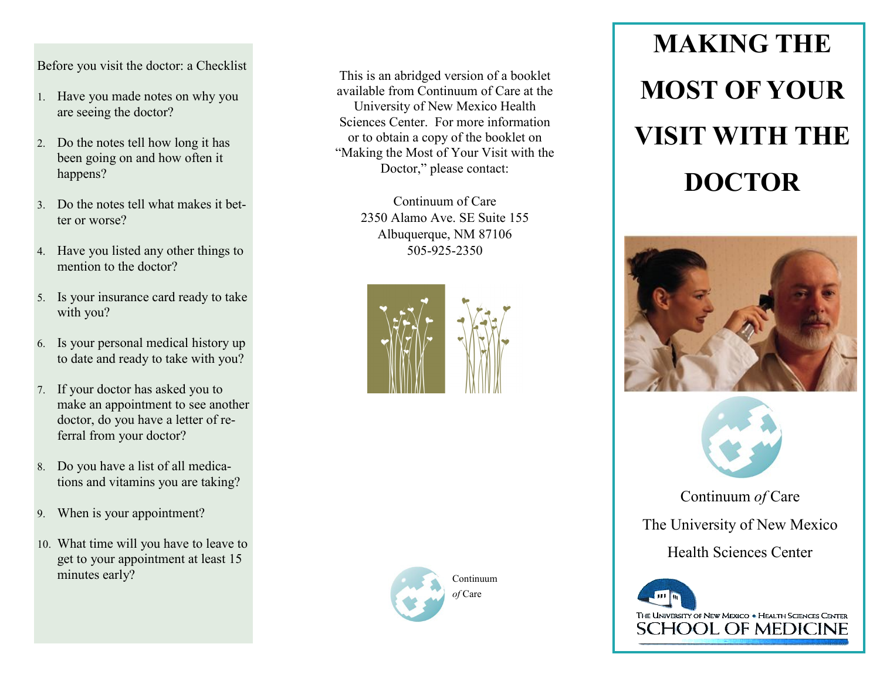## Before you visit the doctor: a Checklist

- 1. Have you made notes on why you are seeing the doctor?
- Do the notes tell how long it has been going on and how often it happens?
- Do the notes tell what makes it better or worse?
- 4. Have you listed any other things to mention to the doctor?
- Is your insurance card ready to take with you?
- Is your personal medical history up to date and ready to take with you?
- If your doctor has asked you to make an appointment to see another doctor, do you have a letter of referral from your doctor?
- Do you have a list of all medications and vitamins you are taking?
- When is your appointment?
- What time will you have to leave to get to your appointment at least 15 minutes early? Continuum

This is an abridged version of a booklet available from Continuum of Care at the University of New Mexico Health Sciences Center. For more information or to obtain a copy of the booklet on "Making the Most of Your Visit with the Doctor," please contact:

> Continuum of Care 2350 Alamo Ave. SE Suite 155 Albuquerque, NM 87106 505-925-2350





*of* Care

# **MAKING THE MOST OF YOUR VISIT WITH THE DOCTOR**





Continuum *of* Care The University of New Mexico Health Sciences Center